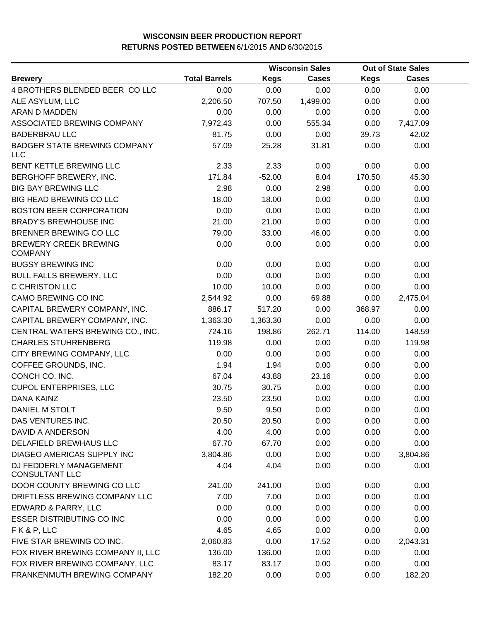|                                                   |                      | <b>Wisconsin Sales</b> |              | <b>Out of State Sales</b> |              |  |
|---------------------------------------------------|----------------------|------------------------|--------------|---------------------------|--------------|--|
| <b>Brewery</b>                                    | <b>Total Barrels</b> | <b>Kegs</b>            | <b>Cases</b> | <b>Kegs</b>               | <b>Cases</b> |  |
| 4 BROTHERS BLENDED BEER COLLC                     | 0.00                 | 0.00                   | 0.00         | 0.00                      | 0.00         |  |
| ALE ASYLUM, LLC                                   | 2,206.50             | 707.50                 | 1,499.00     | 0.00                      | 0.00         |  |
| ARAN D MADDEN                                     | 0.00                 | 0.00                   | 0.00         | 0.00                      | 0.00         |  |
| ASSOCIATED BREWING COMPANY                        | 7,972.43             | 0.00                   | 555.34       | 0.00                      | 7,417.09     |  |
| <b>BADERBRAU LLC</b>                              | 81.75                | 0.00                   | 0.00         | 39.73                     | 42.02        |  |
| <b>BADGER STATE BREWING COMPANY</b><br><b>LLC</b> | 57.09                | 25.28                  | 31.81        | 0.00                      | 0.00         |  |
| BENT KETTLE BREWING LLC                           | 2.33                 | 2.33                   | 0.00         | 0.00                      | 0.00         |  |
| BERGHOFF BREWERY, INC.                            | 171.84               | $-52.00$               | 8.04         | 170.50                    | 45.30        |  |
| <b>BIG BAY BREWING LLC</b>                        | 2.98                 | 0.00                   | 2.98         | 0.00                      | 0.00         |  |
| <b>BIG HEAD BREWING CO LLC</b>                    | 18.00                | 18.00                  | 0.00         | 0.00                      | 0.00         |  |
| <b>BOSTON BEER CORPORATION</b>                    | 0.00                 | 0.00                   | 0.00         | 0.00                      | 0.00         |  |
| <b>BRADY'S BREWHOUSE INC</b>                      | 21.00                | 21.00                  | 0.00         | 0.00                      | 0.00         |  |
| BRENNER BREWING CO LLC                            | 79.00                | 33.00                  | 46.00        | 0.00                      | 0.00         |  |
| <b>BREWERY CREEK BREWING</b><br><b>COMPANY</b>    | 0.00                 | 0.00                   | 0.00         | 0.00                      | 0.00         |  |
| <b>BUGSY BREWING INC</b>                          | 0.00                 | 0.00                   | 0.00         | 0.00                      | 0.00         |  |
| <b>BULL FALLS BREWERY, LLC</b>                    | 0.00                 | 0.00                   | 0.00         | 0.00                      | 0.00         |  |
| C CHRISTON LLC                                    | 10.00                | 10.00                  | 0.00         | 0.00                      | 0.00         |  |
| CAMO BREWING CO INC                               | 2,544.92             | 0.00                   | 69.88        | 0.00                      | 2,475.04     |  |
| CAPITAL BREWERY COMPANY, INC.                     | 886.17               | 517.20                 | 0.00         | 368.97                    | 0.00         |  |
| CAPITAL BREWERY COMPANY, INC.                     | 1,363.30             | 1,363.30               | 0.00         | 0.00                      | 0.00         |  |
| CENTRAL WATERS BREWING CO., INC.                  | 724.16               | 198.86                 | 262.71       | 114.00                    | 148.59       |  |
| <b>CHARLES STUHRENBERG</b>                        | 119.98               | 0.00                   | 0.00         | 0.00                      | 119.98       |  |
| CITY BREWING COMPANY, LLC                         | 0.00                 | 0.00                   | 0.00         | 0.00                      | 0.00         |  |
| COFFEE GROUNDS, INC.                              | 1.94                 | 1.94                   | 0.00         | 0.00                      | 0.00         |  |
| CONCH CO. INC.                                    | 67.04                | 43.88                  | 23.16        | 0.00                      | 0.00         |  |
| <b>CUPOL ENTERPRISES, LLC</b>                     | 30.75                | 30.75                  | 0.00         | 0.00                      | 0.00         |  |
| DANA KAINZ                                        | 23.50                | 23.50                  | 0.00         | 0.00                      | 0.00         |  |
| DANIEL M STOLT                                    | 9.50                 | 9.50                   | 0.00         | 0.00                      | 0.00         |  |
| DAS VENTURES INC.                                 | 20.50                | 20.50                  | 0.00         | 0.00                      | 0.00         |  |
| DAVID A ANDERSON                                  | 4.00                 | 4.00                   | 0.00         | 0.00                      | 0.00         |  |
| DELAFIELD BREWHAUS LLC                            | 67.70                | 67.70                  | 0.00         | 0.00                      | 0.00         |  |
| DIAGEO AMERICAS SUPPLY INC                        | 3,804.86             | 0.00                   | 0.00         | 0.00                      | 3,804.86     |  |
| DJ FEDDERLY MANAGEMENT<br><b>CONSULTANT LLC</b>   | 4.04                 | 4.04                   | 0.00         | 0.00                      | 0.00         |  |
| DOOR COUNTY BREWING CO LLC                        | 241.00               | 241.00                 | 0.00         | 0.00                      | 0.00         |  |
| DRIFTLESS BREWING COMPANY LLC                     | 7.00                 | 7.00                   | 0.00         | 0.00                      | 0.00         |  |
| EDWARD & PARRY, LLC                               | 0.00                 | 0.00                   | 0.00         | 0.00                      | 0.00         |  |
| <b>ESSER DISTRIBUTING CO INC</b>                  | 0.00                 | 0.00                   | 0.00         | 0.00                      | 0.00         |  |
| FK&P, LLC                                         | 4.65                 | 4.65                   | 0.00         | 0.00                      | 0.00         |  |
| FIVE STAR BREWING CO INC.                         | 2,060.83             | 0.00                   | 17.52        | 0.00                      | 2,043.31     |  |
| FOX RIVER BREWING COMPANY II, LLC                 | 136.00               | 136.00                 | 0.00         | 0.00                      | 0.00         |  |
| FOX RIVER BREWING COMPANY, LLC                    | 83.17                | 83.17                  | 0.00         | 0.00                      | 0.00         |  |
| FRANKENMUTH BREWING COMPANY                       | 182.20               | 0.00                   | 0.00         | 0.00                      | 182.20       |  |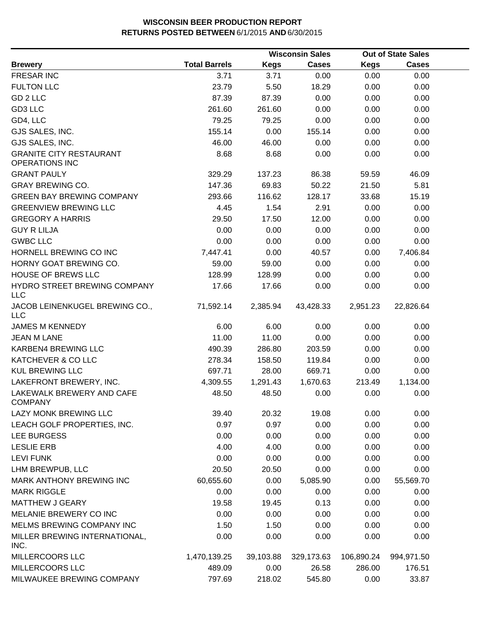|                                                         |                      |             | <b>Wisconsin Sales</b> |             | <b>Out of State Sales</b> |  |
|---------------------------------------------------------|----------------------|-------------|------------------------|-------------|---------------------------|--|
| <b>Brewery</b>                                          | <b>Total Barrels</b> | <b>Kegs</b> | <b>Cases</b>           | <b>Kegs</b> | <b>Cases</b>              |  |
| <b>FRESAR INC</b>                                       | 3.71                 | 3.71        | 0.00                   | 0.00        | 0.00                      |  |
| <b>FULTON LLC</b>                                       | 23.79                | 5.50        | 18.29                  | 0.00        | 0.00                      |  |
| GD 2 LLC                                                | 87.39                | 87.39       | 0.00                   | 0.00        | 0.00                      |  |
| GD3 LLC                                                 | 261.60               | 261.60      | 0.00                   | 0.00        | 0.00                      |  |
| GD4, LLC                                                | 79.25                | 79.25       | 0.00                   | 0.00        | 0.00                      |  |
| GJS SALES, INC.                                         | 155.14               | 0.00        | 155.14                 | 0.00        | 0.00                      |  |
| GJS SALES, INC.                                         | 46.00                | 46.00       | 0.00                   | 0.00        | 0.00                      |  |
| <b>GRANITE CITY RESTAURANT</b><br><b>OPERATIONS INC</b> | 8.68                 | 8.68        | 0.00                   | 0.00        | 0.00                      |  |
| <b>GRANT PAULY</b>                                      | 329.29               | 137.23      | 86.38                  | 59.59       | 46.09                     |  |
| <b>GRAY BREWING CO.</b>                                 | 147.36               | 69.83       | 50.22                  | 21.50       | 5.81                      |  |
| <b>GREEN BAY BREWING COMPANY</b>                        | 293.66               | 116.62      | 128.17                 | 33.68       | 15.19                     |  |
| <b>GREENVIEW BREWING LLC</b>                            | 4.45                 | 1.54        | 2.91                   | 0.00        | 0.00                      |  |
| <b>GREGORY A HARRIS</b>                                 | 29.50                | 17.50       | 12.00                  | 0.00        | 0.00                      |  |
| <b>GUY R LILJA</b>                                      | 0.00                 | 0.00        | 0.00                   | 0.00        | 0.00                      |  |
| <b>GWBC LLC</b>                                         | 0.00                 | 0.00        | 0.00                   | 0.00        | 0.00                      |  |
| HORNELL BREWING CO INC                                  | 7,447.41             | 0.00        | 40.57                  | 0.00        | 7,406.84                  |  |
| HORNY GOAT BREWING CO.                                  | 59.00                | 59.00       | 0.00                   | 0.00        | 0.00                      |  |
| <b>HOUSE OF BREWS LLC</b>                               | 128.99               | 128.99      | 0.00                   | 0.00        | 0.00                      |  |
| HYDRO STREET BREWING COMPANY<br><b>LLC</b>              | 17.66                | 17.66       | 0.00                   | 0.00        | 0.00                      |  |
| JACOB LEINENKUGEL BREWING CO.,<br><b>LLC</b>            | 71,592.14            | 2,385.94    | 43,428.33              | 2,951.23    | 22,826.64                 |  |
| <b>JAMES M KENNEDY</b>                                  | 6.00                 | 6.00        | 0.00                   | 0.00        | 0.00                      |  |
| <b>JEAN M LANE</b>                                      | 11.00                | 11.00       | 0.00                   | 0.00        | 0.00                      |  |
| KARBEN4 BREWING LLC                                     | 490.39               | 286.80      | 203.59                 | 0.00        | 0.00                      |  |
| KATCHEVER & CO LLC                                      | 278.34               | 158.50      | 119.84                 | 0.00        | 0.00                      |  |
| <b>KUL BREWING LLC</b>                                  | 697.71               | 28.00       | 669.71                 | 0.00        | 0.00                      |  |
| LAKEFRONT BREWERY, INC.                                 | 4,309.55             | 1,291.43    | 1,670.63               | 213.49      | 1,134.00                  |  |
| LAKEWALK BREWERY AND CAFE<br><b>COMPANY</b>             | 48.50                | 48.50       | 0.00                   | 0.00        | 0.00                      |  |
| LAZY MONK BREWING LLC                                   | 39.40                | 20.32       | 19.08                  | 0.00        | 0.00                      |  |
| LEACH GOLF PROPERTIES, INC.                             | 0.97                 | 0.97        | 0.00                   | 0.00        | 0.00                      |  |
| LEE BURGESS                                             | 0.00                 | 0.00        | 0.00                   | 0.00        | 0.00                      |  |
| <b>LESLIE ERB</b>                                       | 4.00                 | 4.00        | 0.00                   | 0.00        | 0.00                      |  |
| <b>LEVI FUNK</b>                                        | 0.00                 | 0.00        | 0.00                   | 0.00        | 0.00                      |  |
| LHM BREWPUB, LLC                                        | 20.50                | 20.50       | 0.00                   | 0.00        | 0.00                      |  |
| MARK ANTHONY BREWING INC                                | 60,655.60            | 0.00        | 5,085.90               | 0.00        | 55,569.70                 |  |
| <b>MARK RIGGLE</b>                                      | 0.00                 | 0.00        | 0.00                   | 0.00        | 0.00                      |  |
| <b>MATTHEW J GEARY</b>                                  | 19.58                | 19.45       | 0.13                   | 0.00        | 0.00                      |  |
| MELANIE BREWERY CO INC                                  | 0.00                 | 0.00        | 0.00                   | 0.00        | 0.00                      |  |
| MELMS BREWING COMPANY INC                               | 1.50                 | 1.50        | 0.00                   | 0.00        | 0.00                      |  |
| MILLER BREWING INTERNATIONAL,<br>INC.                   | 0.00                 | 0.00        | 0.00                   | 0.00        | 0.00                      |  |
| MILLERCOORS LLC                                         | 1,470,139.25         | 39,103.88   | 329,173.63             | 106,890.24  | 994,971.50                |  |
| MILLERCOORS LLC                                         | 489.09               | 0.00        | 26.58                  | 286.00      | 176.51                    |  |
| MILWAUKEE BREWING COMPANY                               | 797.69               | 218.02      | 545.80                 | 0.00        | 33.87                     |  |
|                                                         |                      |             |                        |             |                           |  |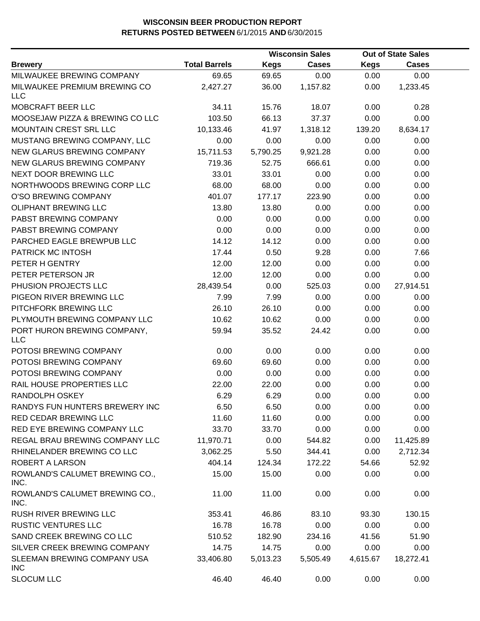|                                            |                      |             | <b>Wisconsin Sales</b> |             | <b>Out of State Sales</b> |  |
|--------------------------------------------|----------------------|-------------|------------------------|-------------|---------------------------|--|
| <b>Brewery</b>                             | <b>Total Barrels</b> | <b>Kegs</b> | <b>Cases</b>           | <b>Kegs</b> | <b>Cases</b>              |  |
| MILWAUKEE BREWING COMPANY                  | 69.65                | 69.65       | 0.00                   | 0.00        | 0.00                      |  |
| MILWAUKEE PREMIUM BREWING CO<br><b>LLC</b> | 2,427.27             | 36.00       | 1,157.82               | 0.00        | 1,233.45                  |  |
| MOBCRAFT BEER LLC                          | 34.11                | 15.76       | 18.07                  | 0.00        | 0.28                      |  |
| MOOSEJAW PIZZA & BREWING CO LLC            | 103.50               | 66.13       | 37.37                  | 0.00        | 0.00                      |  |
| MOUNTAIN CREST SRL LLC                     | 10,133.46            | 41.97       | 1,318.12               | 139.20      | 8,634.17                  |  |
| MUSTANG BREWING COMPANY, LLC               | 0.00                 | 0.00        | 0.00                   | 0.00        | 0.00                      |  |
| NEW GLARUS BREWING COMPANY                 | 15,711.53            | 5,790.25    | 9,921.28               | 0.00        | 0.00                      |  |
| NEW GLARUS BREWING COMPANY                 | 719.36               | 52.75       | 666.61                 | 0.00        | 0.00                      |  |
| NEXT DOOR BREWING LLC                      | 33.01                | 33.01       | 0.00                   | 0.00        | 0.00                      |  |
| NORTHWOODS BREWING CORP LLC                | 68.00                | 68.00       | 0.00                   | 0.00        | 0.00                      |  |
| O'SO BREWING COMPANY                       | 401.07               | 177.17      | 223.90                 | 0.00        | 0.00                      |  |
| <b>OLIPHANT BREWING LLC</b>                | 13.80                | 13.80       | 0.00                   | 0.00        | 0.00                      |  |
| PABST BREWING COMPANY                      | 0.00                 | 0.00        | 0.00                   | 0.00        | 0.00                      |  |
| PABST BREWING COMPANY                      | 0.00                 | 0.00        | 0.00                   | 0.00        | 0.00                      |  |
| PARCHED EAGLE BREWPUB LLC                  | 14.12                | 14.12       | 0.00                   | 0.00        | 0.00                      |  |
| PATRICK MC INTOSH                          | 17.44                | 0.50        | 9.28                   | 0.00        | 7.66                      |  |
| PETER H GENTRY                             | 12.00                | 12.00       | 0.00                   | 0.00        | 0.00                      |  |
| PETER PETERSON JR                          | 12.00                | 12.00       | 0.00                   | 0.00        | 0.00                      |  |
| PHUSION PROJECTS LLC                       | 28,439.54            | 0.00        | 525.03                 | 0.00        | 27,914.51                 |  |
| PIGEON RIVER BREWING LLC                   | 7.99                 | 7.99        | 0.00                   | 0.00        | 0.00                      |  |
| PITCHFORK BREWING LLC                      | 26.10                | 26.10       | 0.00                   | 0.00        | 0.00                      |  |
| PLYMOUTH BREWING COMPANY LLC               | 10.62                | 10.62       | 0.00                   | 0.00        | 0.00                      |  |
| PORT HURON BREWING COMPANY,<br><b>LLC</b>  | 59.94                | 35.52       | 24.42                  | 0.00        | 0.00                      |  |
| POTOSI BREWING COMPANY                     | 0.00                 | 0.00        | 0.00                   | 0.00        | 0.00                      |  |
| POTOSI BREWING COMPANY                     | 69.60                | 69.60       | 0.00                   | 0.00        | 0.00                      |  |
| POTOSI BREWING COMPANY                     | 0.00                 | 0.00        | 0.00                   | 0.00        | 0.00                      |  |
| RAIL HOUSE PROPERTIES LLC                  | 22.00                | 22.00       | 0.00                   | 0.00        | 0.00                      |  |
| <b>RANDOLPH OSKEY</b>                      | 6.29                 | 6.29        | 0.00                   | 0.00        | 0.00                      |  |
| RANDYS FUN HUNTERS BREWERY INC             | 6.50                 | 6.50        | 0.00                   | 0.00        | 0.00                      |  |
| RED CEDAR BREWING LLC                      | 11.60                | 11.60       | 0.00                   | 0.00        | 0.00                      |  |
| RED EYE BREWING COMPANY LLC                | 33.70                | 33.70       | 0.00                   | 0.00        | 0.00                      |  |
| REGAL BRAU BREWING COMPANY LLC             | 11,970.71            | 0.00        | 544.82                 | 0.00        | 11,425.89                 |  |
| RHINELANDER BREWING CO LLC                 | 3,062.25             | 5.50        | 344.41                 | 0.00        | 2,712.34                  |  |
| ROBERT A LARSON                            | 404.14               | 124.34      | 172.22                 | 54.66       | 52.92                     |  |
| ROWLAND'S CALUMET BREWING CO.,<br>INC.     | 15.00                | 15.00       | 0.00                   | 0.00        | 0.00                      |  |
| ROWLAND'S CALUMET BREWING CO.,<br>INC.     | 11.00                | 11.00       | 0.00                   | 0.00        | 0.00                      |  |
| RUSH RIVER BREWING LLC                     | 353.41               | 46.86       | 83.10                  | 93.30       | 130.15                    |  |
| <b>RUSTIC VENTURES LLC</b>                 | 16.78                | 16.78       | 0.00                   | 0.00        | 0.00                      |  |
| SAND CREEK BREWING CO LLC                  | 510.52               | 182.90      | 234.16                 | 41.56       | 51.90                     |  |
| SILVER CREEK BREWING COMPANY               | 14.75                | 14.75       | 0.00                   | 0.00        | 0.00                      |  |
| SLEEMAN BREWING COMPANY USA<br><b>INC</b>  | 33,406.80            | 5,013.23    | 5,505.49               | 4,615.67    | 18,272.41                 |  |
| <b>SLOCUM LLC</b>                          | 46.40                | 46.40       | 0.00                   | 0.00        | 0.00                      |  |